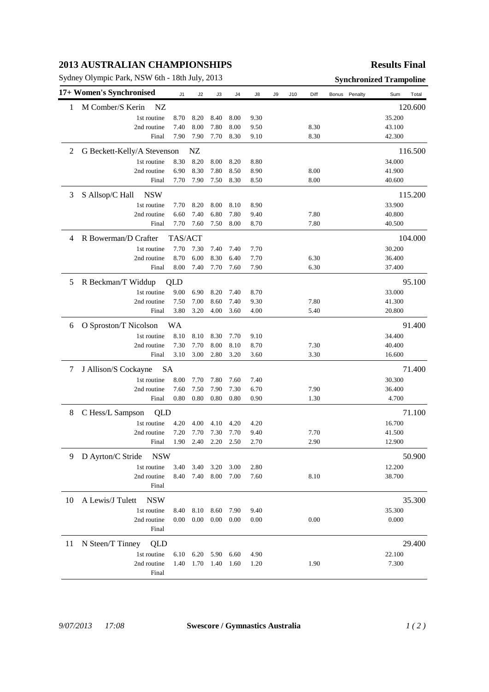## **2013 AUSTRALIAN CHAMPIONSHIPS**

Sydney Olympic Park, NSW 6th - 18th July, 2013 **Synchronized Trampoline** 

## **Results Final**

|    | 17+ Women's Synchronised        | J1      | J2   | J3   | J4   | J8   | J9 | J10 | Diff | Bonus | Penalty | Sum    | Total   |
|----|---------------------------------|---------|------|------|------|------|----|-----|------|-------|---------|--------|---------|
| 1  | M Comber/S Kerin<br>NZ          |         |      |      |      |      |    |     |      |       |         |        | 120.600 |
|    | 1st routine                     | 8.70    | 8.20 | 8.40 | 8.00 | 9.30 |    |     |      |       |         | 35.200 |         |
|    | 2nd routine                     | 7.40    | 8.00 | 7.80 | 8.00 | 9.50 |    |     | 8.30 |       |         | 43.100 |         |
|    | Final                           | 7.90    | 7.90 | 7.70 | 8.30 | 9.10 |    |     | 8.30 |       |         | 42.300 |         |
| 2  | G Beckett-Kelly/A Stevenson     |         | NZ   |      |      |      |    |     |      |       |         |        | 116.500 |
|    | 1st routine                     | 8.30    | 8.20 | 8.00 | 8.20 | 8.80 |    |     |      |       |         | 34.000 |         |
|    | 2nd routine                     | 6.90    | 8.30 | 7.80 | 8.50 | 8.90 |    |     | 8.00 |       |         | 41.900 |         |
|    | Final                           | 7.70    | 7.90 | 7.50 | 8.30 | 8.50 |    |     | 8.00 |       |         | 40.600 |         |
| 3  | S Allsop/C Hall<br><b>NSW</b>   |         |      |      |      |      |    |     |      |       |         |        | 115.200 |
|    | 1st routine                     | 7.70    | 8.20 | 8.00 | 8.10 | 8.90 |    |     |      |       |         | 33.900 |         |
|    | 2nd routine                     | 6.60    | 7.40 | 6.80 | 7.80 | 9.40 |    |     | 7.80 |       |         | 40.800 |         |
|    | Final                           | 7.70    | 7.60 | 7.50 | 8.00 | 8.70 |    |     | 7.80 |       |         | 40.500 |         |
| 4  | R Bowerman/D Crafter            | TAS/ACT |      |      |      |      |    |     |      |       |         |        | 104.000 |
|    | 1st routine                     | 7.70    | 7.30 | 7.40 | 7.40 | 7.70 |    |     |      |       |         | 30.200 |         |
|    | 2nd routine                     | 8.70    | 6.00 | 8.30 | 6.40 | 7.70 |    |     | 6.30 |       |         | 36.400 |         |
|    | Final                           | 8.00    | 7.40 | 7.70 | 7.60 | 7.90 |    |     | 6.30 |       |         | 37.400 |         |
| 5  | R Beckman/T Widdup              | QLD     |      |      |      |      |    |     |      |       |         |        | 95.100  |
|    | 1st routine                     | 9.00    | 6.90 | 8.20 | 7.40 | 8.70 |    |     |      |       |         | 33.000 |         |
|    | 2nd routine                     | 7.50    | 7.00 | 8.60 | 7.40 | 9.30 |    |     | 7.80 |       |         | 41.300 |         |
|    | Final                           | 3.80    | 3.20 | 4.00 | 3.60 | 4.00 |    |     | 5.40 |       |         | 20.800 |         |
| 6  | O Sproston/T Nicolson           | WA      |      |      |      |      |    |     |      |       |         |        | 91.400  |
|    | 1st routine                     | 8.10    | 8.10 | 8.30 | 7.70 | 9.10 |    |     |      |       |         | 34.400 |         |
|    | 2nd routine                     | 7.30    | 7.70 | 8.00 | 8.10 | 8.70 |    |     | 7.30 |       |         | 40.400 |         |
|    | Final                           | 3.10    | 3.00 | 2.80 | 3.20 | 3.60 |    |     | 3.30 |       |         | 16.600 |         |
| 7  | J Allison/S Cockayne<br>SA      |         |      |      |      |      |    |     |      |       |         | 71.400 |         |
|    | 1st routine                     | 8.00    | 7.70 | 7.80 | 7.60 | 7.40 |    |     |      |       |         | 30.300 |         |
|    | 2nd routine                     | 7.60    | 7.50 | 7.90 | 7.30 | 6.70 |    |     | 7.90 |       |         | 36.400 |         |
|    | Final                           | 0.80    | 0.80 | 0.80 | 0.80 | 0.90 |    |     | 1.30 |       |         | 4.700  |         |
| 8  | C Hess/L Sampson<br>QLD         |         |      |      |      |      |    |     |      |       |         |        | 71.100  |
|    | 1st routine                     | 4.20    | 4.00 | 4.10 | 4.20 | 4.20 |    |     |      |       |         | 16.700 |         |
|    | 2nd routine                     | 7.20    | 7.70 | 7.30 | 7.70 | 9.40 |    |     | 7.70 |       |         | 41.500 |         |
|    | Final                           | 1.90    | 2.40 | 2.20 | 2.50 | 2.70 |    |     | 2.90 |       |         | 12.900 |         |
| 9  | D Ayrton/C Stride<br><b>NSW</b> |         |      |      |      |      |    |     |      |       |         | 50.900 |         |
|    | 1st routine                     | 3.40    | 3.40 | 3.20 | 3.00 | 2.80 |    |     |      |       |         | 12.200 |         |
|    | 2nd routine                     | 8.40    | 7.40 | 8.00 | 7.00 | 7.60 |    |     | 8.10 |       |         | 38.700 |         |
|    | Final                           |         |      |      |      |      |    |     |      |       |         |        |         |
| 10 | A Lewis/J Tulett<br><b>NSW</b>  |         |      |      |      |      |    |     |      |       |         |        | 35.300  |
|    | 1st routine                     | 8.40    | 8.10 | 8.60 | 7.90 | 9.40 |    |     |      |       |         | 35.300 |         |
|    | 2nd routine<br>Final            | 0.00    | 0.00 | 0.00 | 0.00 | 0.00 |    |     | 0.00 |       |         | 0.000  |         |
| 11 | N Steen/T Tinney<br>QLD         |         |      |      |      |      |    |     |      |       |         |        | 29.400  |
|    | 1st routine                     | 6.10    | 6.20 | 5.90 | 6.60 | 4.90 |    |     |      |       |         | 22.100 |         |
|    | 2nd routine                     | 1.40    | 1.70 | 1.40 | 1.60 | 1.20 |    |     | 1.90 |       |         | 7.300  |         |
|    | Final                           |         |      |      |      |      |    |     |      |       |         |        |         |